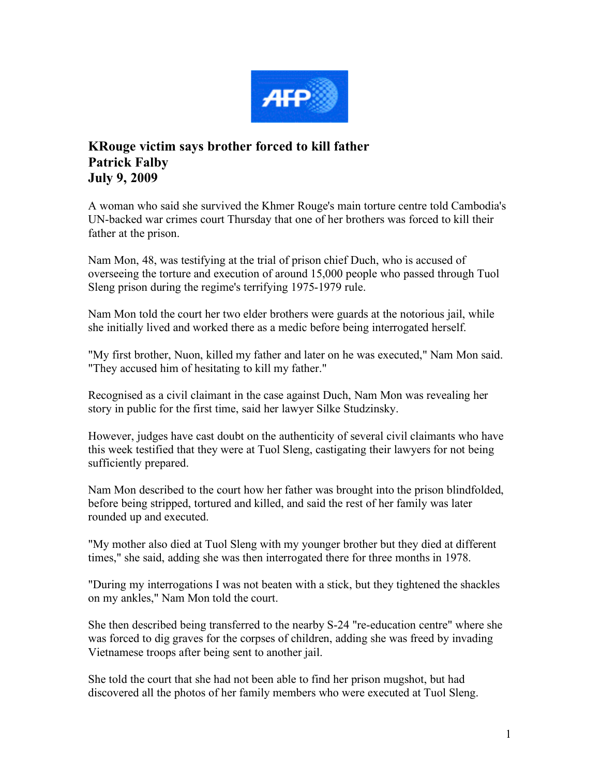

## **KRouge victim says brother forced to kill father Patrick Falby July 9, 2009**

A woman who said she survived the Khmer Rouge's main torture centre told Cambodia's UN-backed war crimes court Thursday that one of her brothers was forced to kill their father at the prison.

Nam Mon, 48, was testifying at the trial of prison chief Duch, who is accused of overseeing the torture and execution of around 15,000 people who passed through Tuol Sleng prison during the regime's terrifying 1975-1979 rule.

Nam Mon told the court her two elder brothers were guards at the notorious jail, while she initially lived and worked there as a medic before being interrogated herself.

"My first brother, Nuon, killed my father and later on he was executed," Nam Mon said. "They accused him of hesitating to kill my father."

Recognised as a civil claimant in the case against Duch, Nam Mon was revealing her story in public for the first time, said her lawyer Silke Studzinsky.

However, judges have cast doubt on the authenticity of several civil claimants who have this week testified that they were at Tuol Sleng, castigating their lawyers for not being sufficiently prepared.

Nam Mon described to the court how her father was brought into the prison blindfolded, before being stripped, tortured and killed, and said the rest of her family was later rounded up and executed.

"My mother also died at Tuol Sleng with my younger brother but they died at different times," she said, adding she was then interrogated there for three months in 1978.

"During my interrogations I was not beaten with a stick, but they tightened the shackles on my ankles," Nam Mon told the court.

She then described being transferred to the nearby S-24 "re-education centre" where she was forced to dig graves for the corpses of children, adding she was freed by invading Vietnamese troops after being sent to another jail.

She told the court that she had not been able to find her prison mugshot, but had discovered all the photos of her family members who were executed at Tuol Sleng.